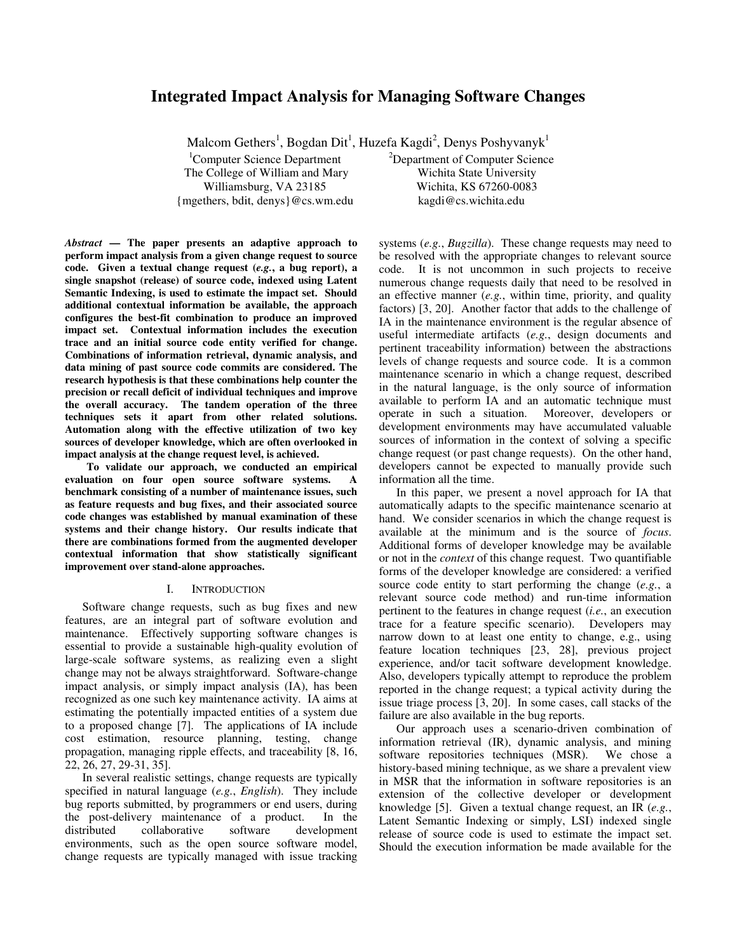# **Integrated Impact Analysis for Managing Software Changes**

Malcom Gethers $^{\rm l}$ , Bogdan Dit $^{\rm l}$ , Huzefa Kagdi $^{\rm 2}$ , Denys Poshyvanyk $^{\rm l}$ <sup>1</sup>Computer Science Department The College of William and Mary Williamsburg, VA 23185 {mgethers, bdit, denys}@cs.wm.edu <sup>2</sup>Department of Computer Science Wichita State University Wichita, KS 67260-0083 kagdi@cs.wichita.edu

*Abstract* **— The paper presents an adaptive approach to perform impact analysis from a given change request to source code. Given a textual change request (***e.g.***, a bug report), a single snapshot (release) of source code, indexed using Latent Semantic Indexing, is used to estimate the impact set. Should additional contextual information be available, the approach configures the best-fit combination to produce an improved impact set. Contextual information includes the execution trace and an initial source code entity verified for change. Combinations of information retrieval, dynamic analysis, and data mining of past source code commits are considered. The research hypothesis is that these combinations help counter the precision or recall deficit of individual techniques and improve the overall accuracy. The tandem operation of the three techniques sets it apart from other related solutions. Automation along with the effective utilization of two key sources of developer knowledge, which are often overlooked in impact analysis at the change request level, is achieved.** 

**To validate our approach, we conducted an empirical evaluation on four open source software systems. A benchmark consisting of a number of maintenance issues, such as feature requests and bug fixes, and their associated source code changes was established by manual examination of these systems and their change history. Our results indicate that there are combinations formed from the augmented developer contextual information that show statistically significant improvement over stand-alone approaches.** 

#### I. INTRODUCTION

Software change requests, such as bug fixes and new features, are an integral part of software evolution and maintenance. Effectively supporting software changes is essential to provide a sustainable high-quality evolution of large-scale software systems, as realizing even a slight change may not be always straightforward. Software-change impact analysis, or simply impact analysis (IA), has been recognized as one such key maintenance activity. IA aims at estimating the potentially impacted entities of a system due to a proposed change [7]. The applications of IA include cost estimation, resource planning, testing, change propagation, managing ripple effects, and traceability [8, 16, 22, 26, 27, 29-31, 35].

In several realistic settings, change requests are typically specified in natural language (*e.g.*, *English*). They include bug reports submitted, by programmers or end users, during the post-delivery maintenance of a product. In the distributed collaborative software development environments, such as the open source software model, change requests are typically managed with issue tracking

systems (*e.g.*, *Bugzilla*). These change requests may need to be resolved with the appropriate changes to relevant source code. It is not uncommon in such projects to receive numerous change requests daily that need to be resolved in an effective manner (*e.g.*, within time, priority, and quality factors) [3, 20]. Another factor that adds to the challenge of IA in the maintenance environment is the regular absence of useful intermediate artifacts (*e.g.*, design documents and pertinent traceability information) between the abstractions levels of change requests and source code. It is a common maintenance scenario in which a change request, described in the natural language, is the only source of information available to perform IA and an automatic technique must operate in such a situation. Moreover, developers or development environments may have accumulated valuable sources of information in the context of solving a specific change request (or past change requests). On the other hand, developers cannot be expected to manually provide such information all the time.

In this paper, we present a novel approach for IA that automatically adapts to the specific maintenance scenario at hand. We consider scenarios in which the change request is available at the minimum and is the source of *focus*. Additional forms of developer knowledge may be available or not in the *context* of this change request. Two quantifiable forms of the developer knowledge are considered: a verified source code entity to start performing the change (*e.g.*, a relevant source code method) and run-time information pertinent to the features in change request (*i.e.*, an execution trace for a feature specific scenario). Developers may narrow down to at least one entity to change, e.g., using feature location techniques [23, 28], previous project experience, and/or tacit software development knowledge. Also, developers typically attempt to reproduce the problem reported in the change request; a typical activity during the issue triage process [3, 20]. In some cases, call stacks of the failure are also available in the bug reports.

Our approach uses a scenario-driven combination of information retrieval (IR), dynamic analysis, and mining software repositories techniques (MSR). We chose a history-based mining technique, as we share a prevalent view in MSR that the information in software repositories is an extension of the collective developer or development knowledge [5]. Given a textual change request, an IR (*e.g.*, Latent Semantic Indexing or simply, LSI) indexed single release of source code is used to estimate the impact set. Should the execution information be made available for the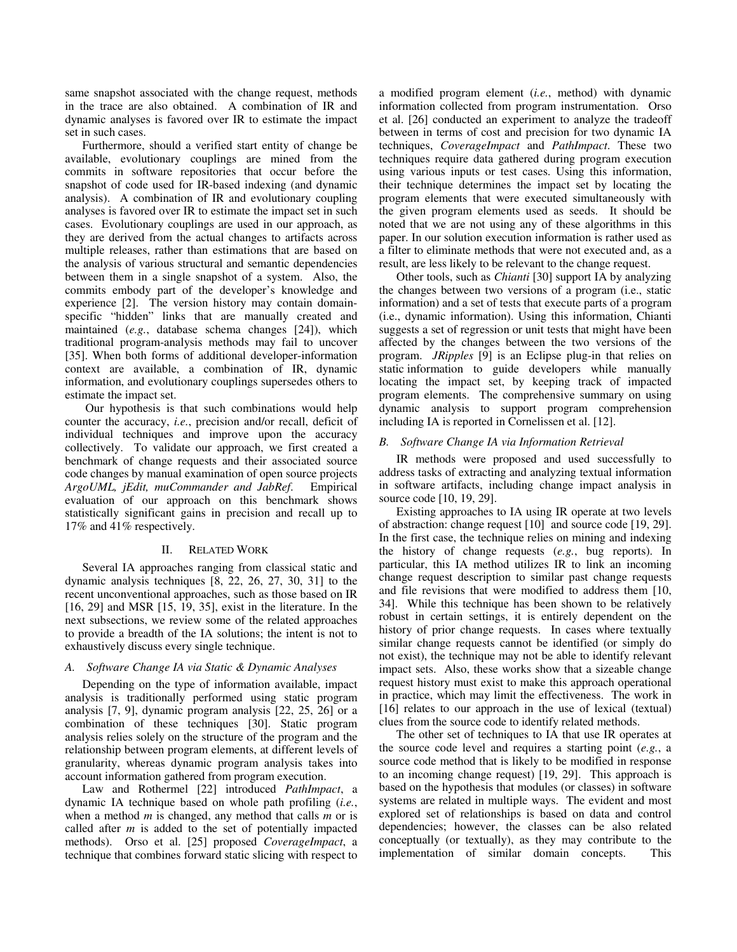same snapshot associated with the change request, methods in the trace are also obtained. A combination of IR and dynamic analyses is favored over IR to estimate the impact set in such cases.

Furthermore, should a verified start entity of change be available, evolutionary couplings are mined from the commits in software repositories that occur before the snapshot of code used for IR-based indexing (and dynamic analysis). A combination of IR and evolutionary coupling analyses is favored over IR to estimate the impact set in such cases. Evolutionary couplings are used in our approach, as they are derived from the actual changes to artifacts across multiple releases, rather than estimations that are based on the analysis of various structural and semantic dependencies between them in a single snapshot of a system. Also, the commits embody part of the developer's knowledge and experience [2]. The version history may contain domainspecific "hidden" links that are manually created and maintained (*e.g.*, database schema changes [24]), which traditional program-analysis methods may fail to uncover [35]. When both forms of additional developer-information context are available, a combination of IR, dynamic information, and evolutionary couplings supersedes others to estimate the impact set.

 Our hypothesis is that such combinations would help counter the accuracy, *i.e.*, precision and/or recall, deficit of individual techniques and improve upon the accuracy collectively. To validate our approach, we first created a benchmark of change requests and their associated source code changes by manual examination of open source projects *ArgoUML, jEdit, muCommander and JabRef*. Empirical evaluation of our approach on this benchmark shows statistically significant gains in precision and recall up to 17% and 41% respectively.

#### II. RELATED WORK

Several IA approaches ranging from classical static and dynamic analysis techniques [8, 22, 26, 27, 30, 31] to the recent unconventional approaches, such as those based on IR [16, 29] and MSR [15, 19, 35], exist in the literature. In the next subsections, we review some of the related approaches to provide a breadth of the IA solutions; the intent is not to exhaustively discuss every single technique.

## *A. Software Change IA via Static & Dynamic Analyses*

Depending on the type of information available, impact analysis is traditionally performed using static program analysis [7, 9], dynamic program analysis [22, 25, 26] or a combination of these techniques [30]. Static program analysis relies solely on the structure of the program and the relationship between program elements, at different levels of granularity, whereas dynamic program analysis takes into account information gathered from program execution.

Law and Rothermel [22] introduced *PathImpact*, a dynamic IA technique based on whole path profiling (*i.e.*, when a method *m* is changed, any method that calls *m* or is called after *m* is added to the set of potentially impacted methods). Orso et al. [25] proposed *CoverageImpact*, a technique that combines forward static slicing with respect to a modified program element (*i.e.*, method) with dynamic information collected from program instrumentation. Orso et al. [26] conducted an experiment to analyze the tradeoff between in terms of cost and precision for two dynamic IA techniques, *CoverageImpact* and *PathImpact*. These two techniques require data gathered during program execution using various inputs or test cases. Using this information, their technique determines the impact set by locating the program elements that were executed simultaneously with the given program elements used as seeds. It should be noted that we are not using any of these algorithms in this paper. In our solution execution information is rather used as a filter to eliminate methods that were not executed and, as a result, are less likely to be relevant to the change request.

Other tools, such as *Chianti* [30] support IA by analyzing the changes between two versions of a program (i.e., static information) and a set of tests that execute parts of a program (i.e., dynamic information). Using this information, Chianti suggests a set of regression or unit tests that might have been affected by the changes between the two versions of the program. *JRipples* [9] is an Eclipse plug-in that relies on static information to guide developers while manually locating the impact set, by keeping track of impacted program elements. The comprehensive summary on using dynamic analysis to support program comprehension including IA is reported in Cornelissen et al. [12].

### *B. Software Change IA via Information Retrieval*

IR methods were proposed and used successfully to address tasks of extracting and analyzing textual information in software artifacts, including change impact analysis in source code [10, 19, 29].

Existing approaches to IA using IR operate at two levels of abstraction: change request [10] and source code [19, 29]. In the first case, the technique relies on mining and indexing the history of change requests (*e.g.*, bug reports). In particular, this IA method utilizes IR to link an incoming change request description to similar past change requests and file revisions that were modified to address them [10, 34]. While this technique has been shown to be relatively robust in certain settings, it is entirely dependent on the history of prior change requests. In cases where textually similar change requests cannot be identified (or simply do not exist), the technique may not be able to identify relevant impact sets. Also, these works show that a sizeable change request history must exist to make this approach operational in practice, which may limit the effectiveness. The work in [16] relates to our approach in the use of lexical (textual) clues from the source code to identify related methods.

The other set of techniques to IA that use IR operates at the source code level and requires a starting point (*e.g.*, a source code method that is likely to be modified in response to an incoming change request) [19, 29]. This approach is based on the hypothesis that modules (or classes) in software systems are related in multiple ways. The evident and most explored set of relationships is based on data and control dependencies; however, the classes can be also related conceptually (or textually), as they may contribute to the implementation of similar domain concepts. This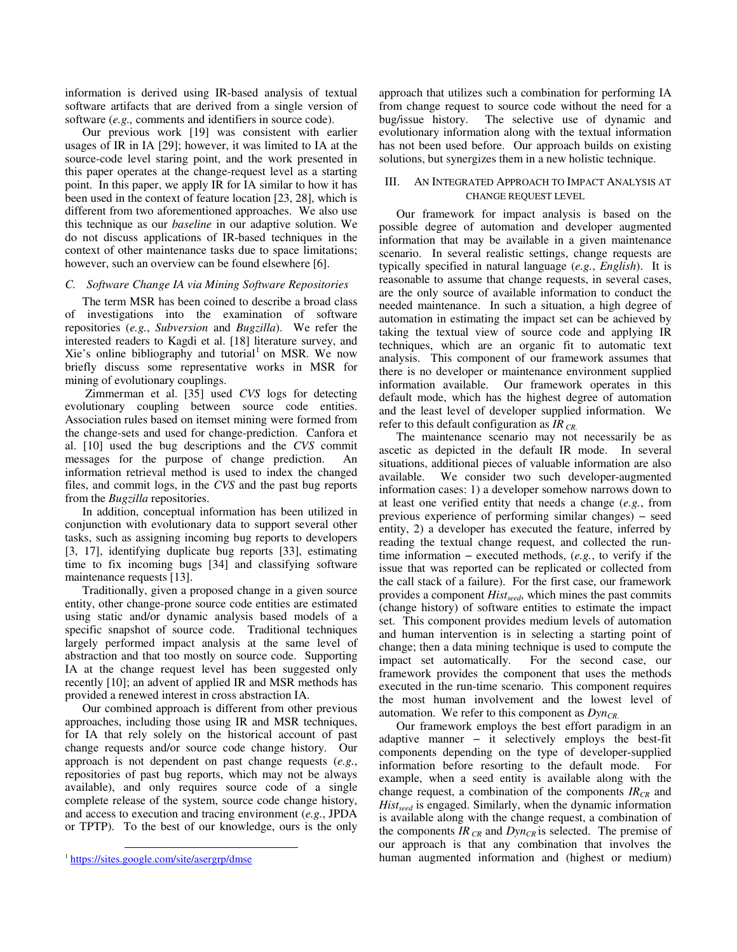information is derived using IR-based analysis of textual software artifacts that are derived from a single version of software (*e.g.,* comments and identifiers in source code).

Our previous work [19] was consistent with earlier usages of IR in IA [29]; however, it was limited to IA at the source-code level staring point, and the work presented in this paper operates at the change-request level as a starting point. In this paper, we apply IR for IA similar to how it has been used in the context of feature location [23, 28], which is different from two aforementioned approaches. We also use this technique as our *baseline* in our adaptive solution. We do not discuss applications of IR-based techniques in the context of other maintenance tasks due to space limitations; however, such an overview can be found elsewhere [6].

# *C. Software Change IA via Mining Software Repositories*

The term MSR has been coined to describe a broad class of investigations into the examination of software repositories (*e.g.*, *Subversion* and *Bugzilla*). We refer the interested readers to Kagdi et al. [18] literature survey, and Xie's online bibliography and tutorial<sup>1</sup> on MSR. We now briefly discuss some representative works in MSR for mining of evolutionary couplings.

 Zimmerman et al. [35] used *CVS* logs for detecting evolutionary coupling between source code entities. Association rules based on itemset mining were formed from the change-sets and used for change-prediction. Canfora et al. [10] used the bug descriptions and the *CVS* commit messages for the purpose of change prediction. An information retrieval method is used to index the changed files, and commit logs, in the *CVS* and the past bug reports from the *Bugzilla* repositories.

In addition, conceptual information has been utilized in conjunction with evolutionary data to support several other tasks, such as assigning incoming bug reports to developers [3, 17], identifying duplicate bug reports [33], estimating time to fix incoming bugs [34] and classifying software maintenance requests [13].

Traditionally, given a proposed change in a given source entity, other change-prone source code entities are estimated using static and/or dynamic analysis based models of a specific snapshot of source code. Traditional techniques largely performed impact analysis at the same level of abstraction and that too mostly on source code. Supporting IA at the change request level has been suggested only recently [10]; an advent of applied IR and MSR methods has provided a renewed interest in cross abstraction IA.

Our combined approach is different from other previous approaches, including those using IR and MSR techniques, for IA that rely solely on the historical account of past change requests and/or source code change history. Our approach is not dependent on past change requests (*e.g.*, repositories of past bug reports, which may not be always available), and only requires source code of a single complete release of the system, source code change history, and access to execution and tracing environment (*e.g.*, JPDA or TPTP). To the best of our knowledge, ours is the only

-

approach that utilizes such a combination for performing IA from change request to source code without the need for a bug/issue history. The selective use of dynamic and evolutionary information along with the textual information has not been used before. Our approach builds on existing solutions, but synergizes them in a new holistic technique.

# III. AN INTEGRATED APPROACH TO IMPACT ANALYSIS AT CHANGE REQUEST LEVEL

Our framework for impact analysis is based on the possible degree of automation and developer augmented information that may be available in a given maintenance scenario. In several realistic settings, change requests are typically specified in natural language (*e.g.*, *English*). It is reasonable to assume that change requests, in several cases, are the only source of available information to conduct the needed maintenance. In such a situation, a high degree of automation in estimating the impact set can be achieved by taking the textual view of source code and applying IR techniques, which are an organic fit to automatic text analysis. This component of our framework assumes that there is no developer or maintenance environment supplied information available. Our framework operates in this default mode, which has the highest degree of automation and the least level of developer supplied information. We refer to this default configuration as *IR CR*.

The maintenance scenario may not necessarily be as ascetic as depicted in the default IR mode. In several situations, additional pieces of valuable information are also available. We consider two such developer-augmented information cases: 1) a developer somehow narrows down to at least one verified entity that needs a change (*e.g.*, from previous experience of performing similar changes) − seed entity, 2) a developer has executed the feature, inferred by reading the textual change request, and collected the runtime information − executed methods, (*e.g.*, to verify if the issue that was reported can be replicated or collected from the call stack of a failure). For the first case, our framework provides a component *Histseed*, which mines the past commits (change history) of software entities to estimate the impact set. This component provides medium levels of automation and human intervention is in selecting a starting point of change; then a data mining technique is used to compute the impact set automatically. For the second case, our framework provides the component that uses the methods executed in the run-time scenario. This component requires the most human involvement and the lowest level of automation. We refer to this component as *DynCR*.

Our framework employs the best effort paradigm in an adaptive manner − it selectively employs the best-fit components depending on the type of developer-supplied information before resorting to the default mode. For example, when a seed entity is available along with the change request, a combination of the components *IRCR* and *Histseed* is engaged. Similarly, when the dynamic information is available along with the change request, a combination of the components *IR*<sub>*CR*</sub> and *Dyn<sub>CR</sub>* is selected. The premise of our approach is that any combination that involves the human augmented information and (highest or medium)

<sup>&</sup>lt;sup>1</sup> https://sites.google.com/site/asergrp/dmse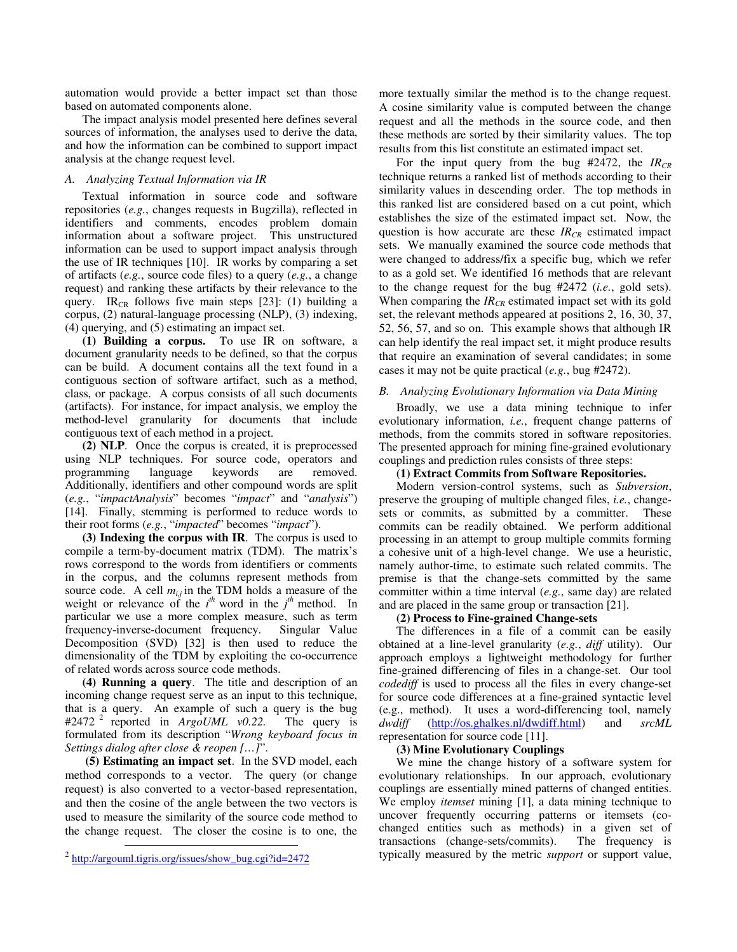automation would provide a better impact set than those based on automated components alone.

The impact analysis model presented here defines several sources of information, the analyses used to derive the data, and how the information can be combined to support impact analysis at the change request level.

# *A. Analyzing Textual Information via IR*

Textual information in source code and software repositories (*e.g.*, changes requests in Bugzilla), reflected in identifiers and comments, encodes problem domain information about a software project. This unstructured information can be used to support impact analysis through the use of IR techniques [10]. IR works by comparing a set of artifacts (*e.g.*, source code files) to a query (*e.g.*, a change request) and ranking these artifacts by their relevance to the query. IR<sub>CR</sub> follows five main steps [23]: (1) building a corpus, (2) natural-language processing (NLP), (3) indexing, (4) querying, and (5) estimating an impact set.

**(1) Building a corpus.** To use IR on software, a document granularity needs to be defined, so that the corpus can be build. A document contains all the text found in a contiguous section of software artifact, such as a method, class, or package. A corpus consists of all such documents (artifacts). For instance, for impact analysis, we employ the method-level granularity for documents that include contiguous text of each method in a project.

**(2) NLP**. Once the corpus is created, it is preprocessed using NLP techniques. For source code, operators and programming language keywords are removed. Additionally, identifiers and other compound words are split (*e.g.*, "*impactAnalysis*" becomes "*impact*" and "*analysis*") [14]. Finally, stemming is performed to reduce words to their root forms (*e.g.*, "*impacted*" becomes "*impact*").

**(3) Indexing the corpus with IR**. The corpus is used to compile a term-by-document matrix (TDM). The matrix's rows correspond to the words from identifiers or comments in the corpus, and the columns represent methods from source code. A cell  $m_{i,j}$  in the TDM holds a measure of the weight or relevance of the  $i^{th}$  word in the  $j^{th}$  method. In particular we use a more complex measure, such as term frequency-inverse-document frequency. Singular Value Decomposition (SVD) [32] is then used to reduce the dimensionality of the TDM by exploiting the co-occurrence of related words across source code methods.

**(4) Running a query**. The title and description of an incoming change request serve as an input to this technique, that is a query. An example of such a query is the bug #2472<sup>2</sup> reported in *ArgoUML v0.22*. The query is formulated from its description "*Wrong keyboard focus in Settings dialog after close & reopen […]*".

 **(5) Estimating an impact set**. In the SVD model, each method corresponds to a vector. The query (or change request) is also converted to a vector-based representation, and then the cosine of the angle between the two vectors is used to measure the similarity of the source code method to the change request. The closer the cosine is to one, the

j

more textually similar the method is to the change request. A cosine similarity value is computed between the change request and all the methods in the source code, and then these methods are sorted by their similarity values. The top results from this list constitute an estimated impact set.

For the input query from the bug #2472, the *IRCR* technique returns a ranked list of methods according to their similarity values in descending order. The top methods in this ranked list are considered based on a cut point, which establishes the size of the estimated impact set. Now, the question is how accurate are these *IRCR* estimated impact sets. We manually examined the source code methods that were changed to address/fix a specific bug, which we refer to as a gold set. We identified 16 methods that are relevant to the change request for the bug #2472 (*i.e.*, gold sets). When comparing the *IR<sub>CR</sub>* estimated impact set with its gold set, the relevant methods appeared at positions 2, 16, 30, 37, 52, 56, 57, and so on. This example shows that although IR can help identify the real impact set, it might produce results that require an examination of several candidates; in some cases it may not be quite practical (*e.g.*, bug #2472).

# *B. Analyzing Evolutionary Information via Data Mining*

Broadly, we use a data mining technique to infer evolutionary information, *i.e.*, frequent change patterns of methods, from the commits stored in software repositories. The presented approach for mining fine-grained evolutionary couplings and prediction rules consists of three steps:

## **(1) Extract Commits from Software Repositories.**

Modern version-control systems, such as *Subversion*, preserve the grouping of multiple changed files, *i.e.*, changesets or commits, as submitted by a committer. These commits can be readily obtained. We perform additional processing in an attempt to group multiple commits forming a cohesive unit of a high-level change. We use a heuristic, namely author-time, to estimate such related commits. The premise is that the change-sets committed by the same committer within a time interval (*e.g.*, same day) are related and are placed in the same group or transaction [21].

### **(2) Process to Fine-grained Change-sets**

The differences in a file of a commit can be easily obtained at a line-level granularity (*e.g.*, *diff* utility). Our approach employs a lightweight methodology for further fine-grained differencing of files in a change-set. Our tool *codediff* is used to process all the files in every change-set for source code differences at a fine-grained syntactic level (e.g., method). It uses a word-differencing tool, namely *dwdiff* (http://os.ghalkes.nl/dwdiff.html) and *srcML* representation for source code [11].

# **(3) Mine Evolutionary Couplings**

We mine the change history of a software system for evolutionary relationships. In our approach, evolutionary couplings are essentially mined patterns of changed entities. We employ *itemset* mining [1], a data mining technique to uncover frequently occurring patterns or itemsets (cochanged entities such as methods) in a given set of transactions (change-sets/commits). The frequency is typically measured by the metric *support* or support value,

<sup>&</sup>lt;sup>2</sup> http://argouml.tigris.org/issues/show\_bug.cgi?id=2472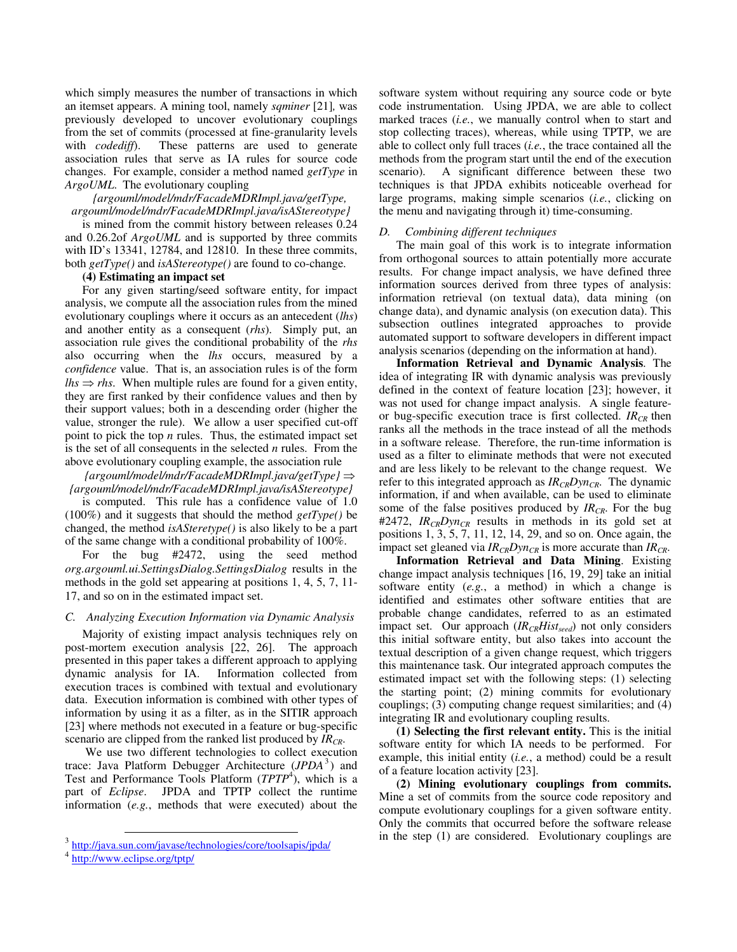which simply measures the number of transactions in which an itemset appears. A mining tool, namely *sqminer* [21]*,* was previously developed to uncover evolutionary couplings from the set of commits (processed at fine-granularity levels with *codediff*). These patterns are used to generate association rules that serve as IA rules for source code changes. For example, consider a method named *getType* in *ArgoUML*. The evolutionary coupling

# *{argouml/model/mdr/FacadeMDRImpl.java/getType, argouml/model/mdr/FacadeMDRImpl.java/isAStereotype}*

is mined from the commit history between releases 0.24 and 0.26.2of *ArgoUML* and is supported by three commits with ID's 13341, 12784, and 12810. In these three commits, both *getType()* and *isAStereotype()* are found to co-change.

## **(4) Estimating an impact set**

For any given starting/seed software entity, for impact analysis, we compute all the association rules from the mined evolutionary couplings where it occurs as an antecedent (*lhs*) and another entity as a consequent (*rhs*). Simply put, an association rule gives the conditional probability of the *rhs*  also occurring when the *lhs* occurs, measured by a *confidence* value. That is, an association rules is of the form *lhs*  $\Rightarrow$  *rhs*. When multiple rules are found for a given entity, they are first ranked by their confidence values and then by their support values; both in a descending order (higher the value, stronger the rule). We allow a user specified cut-off point to pick the top *n* rules. Thus, the estimated impact set is the set of all consequents in the selected *n* rules. From the above evolutionary coupling example, the association rule

# *{argouml/model/mdr/FacadeMDRImpl.java/getType}* ⇒ *{argouml/model/mdr/FacadeMDRImpl.java/isAStereotype}*

is computed. This rule has a confidence value of 1.0 (100%) and it suggests that should the method *getType()* be changed, the method *isASteretype()* is also likely to be a part of the same change with a conditional probability of 100%.

For the bug #2472, using the seed method *org.argouml.ui.SettingsDialog.SettingsDialog* results in the methods in the gold set appearing at positions 1, 4, 5, 7, 11- 17, and so on in the estimated impact set.

# *C. Analyzing Execution Information via Dynamic Analysis*

Majority of existing impact analysis techniques rely on post-mortem execution analysis [22, 26]. The approach presented in this paper takes a different approach to applying dynamic analysis for IA. Information collected from execution traces is combined with textual and evolutionary data. Execution information is combined with other types of information by using it as a filter, as in the SITIR approach [23] where methods not executed in a feature or bug-specific scenario are clipped from the ranked list produced by *IRCR*.

 We use two different technologies to collect execution trace: Java Platform Debugger Architecture (*JPDA*<sup>3</sup>) and Test and Performance Tools Platform (*TPTP*<sup>4</sup>), which is a part of *Eclipse*. JPDA and TPTP collect the runtime information (*e.g.*, methods that were executed) about the

j

software system without requiring any source code or byte code instrumentation. Using JPDA, we are able to collect marked traces (*i.e.*, we manually control when to start and stop collecting traces), whereas, while using TPTP, we are able to collect only full traces (*i.e.*, the trace contained all the methods from the program start until the end of the execution scenario). A significant difference between these two techniques is that JPDA exhibits noticeable overhead for large programs, making simple scenarios (*i.e.*, clicking on the menu and navigating through it) time-consuming.

# *D. Combining different techniques*

The main goal of this work is to integrate information from orthogonal sources to attain potentially more accurate results. For change impact analysis, we have defined three information sources derived from three types of analysis: information retrieval (on textual data), data mining (on change data), and dynamic analysis (on execution data). This subsection outlines integrated approaches to provide automated support to software developers in different impact analysis scenarios (depending on the information at hand).

**Information Retrieval and Dynamic Analysis**. The idea of integrating IR with dynamic analysis was previously defined in the context of feature location [23]; however, it was not used for change impact analysis. A single featureor bug-specific execution trace is first collected. *IRCR* then ranks all the methods in the trace instead of all the methods in a software release. Therefore, the run-time information is used as a filter to eliminate methods that were not executed and are less likely to be relevant to the change request. We refer to this integrated approach as *IRCRDynCR*. The dynamic information, if and when available, can be used to eliminate some of the false positives produced by *IRCR*. For the bug #2472, *IRCRDynCR* results in methods in its gold set at positions 1, 3, 5, 7, 11, 12, 14, 29, and so on. Once again, the impact set gleaned via  $IR_{CR}Dyn_{CR}$  is more accurate than  $IR_{CR}$ .

**Information Retrieval and Data Mining**. Existing change impact analysis techniques [16, 19, 29] take an initial software entity (*e.g.*, a method) in which a change is identified and estimates other software entities that are probable change candidates, referred to as an estimated impact set. Our approach (*IRCRHistseed*) not only considers this initial software entity, but also takes into account the textual description of a given change request, which triggers this maintenance task. Our integrated approach computes the estimated impact set with the following steps: (1) selecting the starting point; (2) mining commits for evolutionary couplings; (3) computing change request similarities; and (4) integrating IR and evolutionary coupling results.

**(1) Selecting the first relevant entity.** This is the initial software entity for which IA needs to be performed. For example, this initial entity (*i.e.*, a method) could be a result of a feature location activity [23].

**(2) Mining evolutionary couplings from commits.**  Mine a set of commits from the source code repository and compute evolutionary couplings for a given software entity. Only the commits that occurred before the software release in the step (1) are considered. Evolutionary couplings are

<sup>3</sup> http://java.sun.com/javase/technologies/core/toolsapis/jpda/

<sup>4</sup> http://www.eclipse.org/tptp/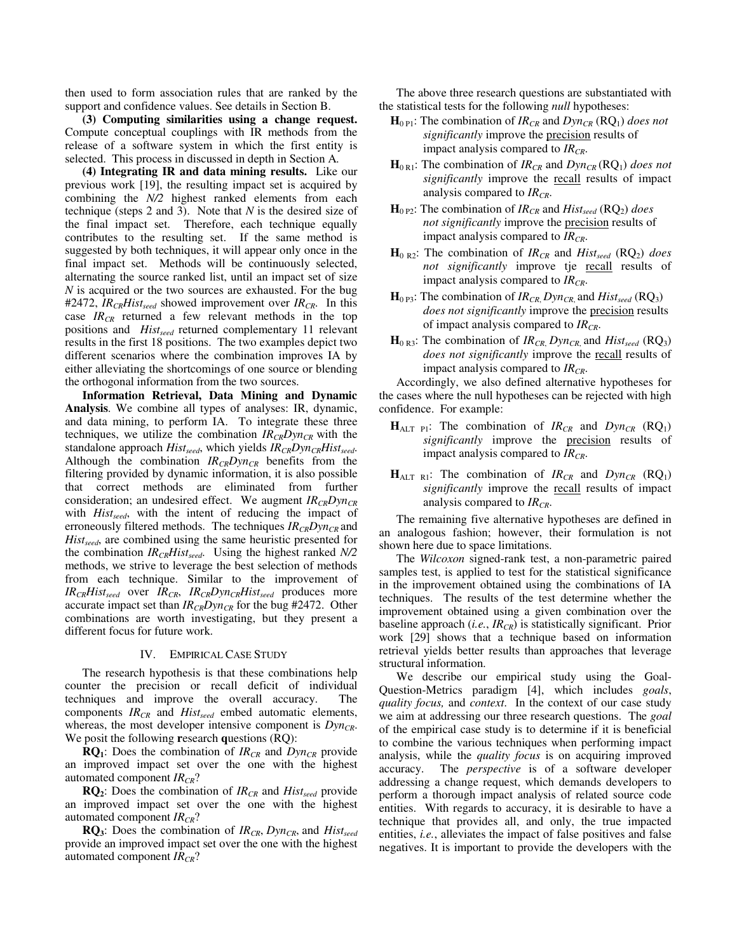then used to form association rules that are ranked by the support and confidence values. See details in Section B.

**(3) Computing similarities using a change request.** Compute conceptual couplings with IR methods from the release of a software system in which the first entity is selected. This process in discussed in depth in Section A*.* 

**(4) Integrating IR and data mining results.** Like our previous work [19], the resulting impact set is acquired by combining the *N/2* highest ranked elements from each technique (steps 2 and 3). Note that *N* is the desired size of the final impact set. Therefore, each technique equally contributes to the resulting set. If the same method is suggested by both techniques, it will appear only once in the final impact set. Methods will be continuously selected, alternating the source ranked list, until an impact set of size *N* is acquired or the two sources are exhausted. For the bug #2472, *IRCRHistseed* showed improvement over *IRCR*. In this case *IRCR* returned a few relevant methods in the top positions and *Histseed* returned complementary 11 relevant results in the first 18 positions. The two examples depict two different scenarios where the combination improves IA by either alleviating the shortcomings of one source or blending the orthogonal information from the two sources.

**Information Retrieval, Data Mining and Dynamic Analysis**. We combine all types of analyses: IR, dynamic, and data mining, to perform IA. To integrate these three techniques, we utilize the combination  $IR_{CR}Dyn_{CR}$  with the standalone approach *Histseed*, which yields *IRCRDynCRHistseed*. Although the combination *IRCRDynCR* benefits from the filtering provided by dynamic information, it is also possible that correct methods are eliminated from further consideration; an undesired effect. We augment *IRCRDynCR* with *Histseed*, with the intent of reducing the impact of erroneously filtered methods. The techniques *IRCRDynCR* and *Histseed*, are combined using the same heuristic presented for the combination *IRCRHistseed*. Using the highest ranked *N/2* methods, we strive to leverage the best selection of methods from each technique. Similar to the improvement of *IRCRHistseed* over *IRCR*, *IRCRDynCRHistseed* produces more accurate impact set than *IRCRDynCR* for the bug #2472. Other combinations are worth investigating, but they present a different focus for future work.

#### IV. EMPIRICAL CASE STUDY

The research hypothesis is that these combinations help counter the precision or recall deficit of individual techniques and improve the overall accuracy. The components *IRCR* and *Histseed* embed automatic elements, whereas, the most developer intensive component is *DynCR*. We posit the following **r**esearch **q**uestions (RQ):

**RQ**<sub>1</sub>: Does the combination of *IR<sub>CR</sub>* and *Dyn<sub>CR</sub>* provide an improved impact set over the one with the highest automated component *IRCR*?

**RQ2**: Does the combination of *IRCR* and *Histseed* provide an improved impact set over the one with the highest automated component *IRCR*?

**RQ3**: Does the combination of *IRCR*, *DynCR*, and *Histseed* provide an improved impact set over the one with the highest automated component *IRCR*?

The above three research questions are substantiated with the statistical tests for the following *null* hypotheses:

- $\mathbf{H}_{0 \text{PI}}$ : The combination of *IR<sub>CR</sub>* and *Dyn<sub>CR</sub>* (RQ<sub>1</sub>) *does not significantly* improve the precision results of impact analysis compared to *IRCR*.
- $H_{0 R1}$ : The combination of *IR<sub>CR</sub>* and *Dyn<sub>CR</sub>* (RQ<sub>1</sub>) *does not significantly* improve the recall results of impact analysis compared to *IRCR*.
- $H_{0 P2}$ : The combination of *IR<sub>CR</sub>* and *Hist<sub>seed</sub>* (RQ<sub>2</sub>) *does not significantly* improve the precision results of impact analysis compared to *IRCR*.
- **H**0 R2: The combination of *IRCR* and *Histseed* (RQ2) *does not significantly* improve tje recall results of impact analysis compared to *IRCR*.
- $H_{0 P3}$ : The combination of *IR<sub>CR</sub>*, *Dyn<sub>CR</sub>*, and *Hist<sub>seed</sub>* (RQ<sub>3</sub>) *does not significantly* improve the precision results of impact analysis compared to *IRCR*.
- $H_{0 R3}$ : The combination of *IR<sub>CR</sub>*, *Dyn<sub>CR</sub>*, and *Hist<sub>seed</sub>* (RQ<sub>3</sub>) *does not significantly* improve the recall results of impact analysis compared to *IRCR*.

Accordingly, we also defined alternative hypotheses for the cases where the null hypotheses can be rejected with high confidence. For example:

- $H_{\text{ALT}}$  <sub>P1</sub>: The combination of *IR<sub>CR</sub>* and *Dyn<sub>CR</sub>* (RQ<sub>1</sub>) *significantly* improve the precision results of impact analysis compared to *IRCR*.
- $H_{\text{ALT R1}}$ : The combination of *IR<sub>CR</sub>* and *Dyn<sub>CR</sub>* (RQ<sub>1</sub>) *significantly* improve the recall results of impact analysis compared to *IRCR*.

The remaining five alternative hypotheses are defined in an analogous fashion; however, their formulation is not shown here due to space limitations.

The *Wilcoxon* signed-rank test, a non-parametric paired samples test, is applied to test for the statistical significance in the improvement obtained using the combinations of IA techniques. The results of the test determine whether the improvement obtained using a given combination over the baseline approach (*i.e.*, *IRCR*) is statistically significant. Prior work [29] shows that a technique based on information retrieval yields better results than approaches that leverage structural information.

We describe our empirical study using the Goal-Question-Metrics paradigm [4], which includes *goals*, *quality focus,* and *context*. In the context of our case study we aim at addressing our three research questions. The *goal* of the empirical case study is to determine if it is beneficial to combine the various techniques when performing impact analysis, while the *quality focus* is on acquiring improved accuracy. The *perspective* is of a software developer addressing a change request, which demands developers to perform a thorough impact analysis of related source code entities. With regards to accuracy, it is desirable to have a technique that provides all, and only, the true impacted entities, *i.e.*, alleviates the impact of false positives and false negatives. It is important to provide the developers with the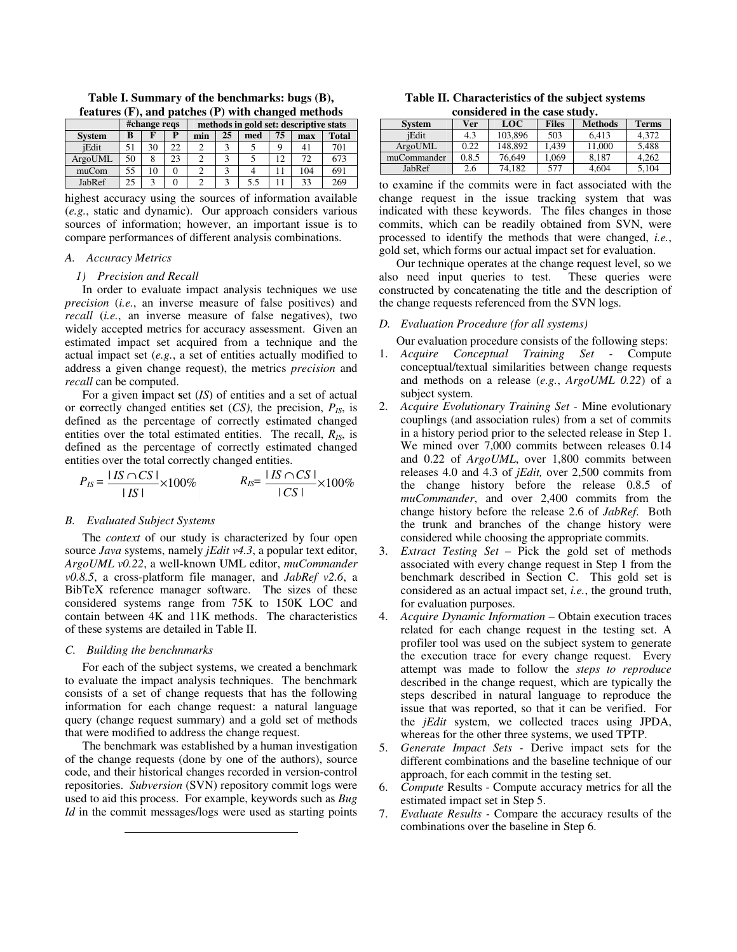| reatures (F), and patches (F) with changed methods |    |              |    |                                        |    |     |    |     |              |  |  |  |
|----------------------------------------------------|----|--------------|----|----------------------------------------|----|-----|----|-----|--------------|--|--|--|
|                                                    |    | #change regs |    | methods in gold set: descriptive stats |    |     |    |     |              |  |  |  |
| <b>System</b>                                      | B  |              | P  | min                                    | 25 | med | 75 | max | <b>Total</b> |  |  |  |
| iEdit                                              | 51 | 30           | 22 |                                        |    |     |    | 41  | 701          |  |  |  |
| ArgoUML                                            | 50 | 8            | 23 |                                        |    |     | 12 | 72  | 673          |  |  |  |
| muCom                                              | 55 | 10           | 0  |                                        |    |     |    | 104 | 691          |  |  |  |
| JabRef                                             | 25 |              | 0  |                                        |    | 5.5 |    | 33  | 269          |  |  |  |

**Table I. Summary of the benchmarks: bugs (B), features (F), and patches (P) with changed methods** 

highest accuracy using the sources of information available (*e.g.*, static and dynamic). Our approach considers various sources of information; however, an important issue is to compare performances of different analysis combinations.

#### *A. Accuracy Metrics*

#### *1) Precision and Recall*

In order to evaluate impact analysis techniques we use *precision* (*i.e.*, an inverse measure of false positives) and *recall* (*i.e.*, an inverse measure of false negatives), two widely accepted metrics for accuracy assessment. Given an estimated impact set acquired from a technique and the actual impact set (*e.g.*, a set of entities actually modified to address a given change request), the metrics *precision* and *recall* can be computed.

For a given **i**mpact **s**et (*IS*) of entities and a set of actual or **c**orrectly changed entities **s**et (*CS)*, the precision, *PIS*, is defined as the percentage of correctly estimated changed entities over the total estimated entities. The recall, *RIS*, is defined as the percentage of correctly estimated changed entities over the total correctly changed entities.

$$
P_{IS} = \frac{|IS \cap CS|}{|IS|} \times 100\%
$$
 
$$
R_{IS} = \frac{|IS \cap CS|}{|CS|} \times 100\%
$$

#### *B. Evaluated Subject Systems*

The *context* of our study is characterized by four open source *Java* systems, namely *jEdit v4.3*, a popular text editor, *ArgoUML v0.22*, a well-known UML editor, *muCommander v0.8.5*, a cross-platform file manager, and *JabRef v2.6*, a BibTeX reference manager software. The sizes of these considered systems range from 75K to 150K LOC and contain between 4K and 11K methods. The characteristics of these systems are detailed in Table II.

#### *C. Building the benchnmarks*

j

For each of the subject systems, we created a benchmark to evaluate the impact analysis techniques. The benchmark consists of a set of change requests that has the following information for each change request: a natural language query (change request summary) and a gold set of methods that were modified to address the change request.

The benchmark was established by a human investigation of the change requests (done by one of the authors), source code, and their historical changes recorded in version-control repositories. *Subversion* (SVN) repository commit logs were used to aid this process. For example, keywords such as *Bug Id* in the commit messages/logs were used as starting points

**Table II. Characteristics of the subject systems considered in the case study.** 

| Svstem      | Ver   | LOC     | <b>Files</b> | <b>Methods</b> | <b>Terms</b> |
|-------------|-------|---------|--------------|----------------|--------------|
| iEdit       | 4.3   | 103.896 | 503          | 6.413          | 4.372        |
| ArgoUML     | 0.22  | 148.892 | 1.439        | 11.000         | 5.488        |
| muCommander | 0.8.5 | 76.649  | .069         | 8.187          | 4.262        |
| JabRef      | 2.6   | 74.182  | 577          | 4.604          | 5.104        |

to examine if the commits were in fact associated with the change request in the issue tracking system that was indicated with these keywords. The files changes in those commits, which can be readily obtained from SVN, were processed to identify the methods that were changed, *i.e.*, gold set, which forms our actual impact set for evaluation.

Our technique operates at the change request level, so we also need input queries to test. These queries were constructed by concatenating the title and the description of the change requests referenced from the SVN logs.

# *D. Evaluation Procedure (for all systems)*

Our evaluation procedure consists of the following steps:

- 1. *Acquire Conceptual Training Set* Compute conceptual/textual similarities between change requests and methods on a release (*e.g.*, *ArgoUML 0.22*) of a subject system.
- 2. *Acquire Evolutionary Training Set* Mine evolutionary couplings (and association rules) from a set of commits in a history period prior to the selected release in Step 1. We mined over 7,000 commits between releases 0.14 and 0.22 of *ArgoUML*, over 1,800 commits between releases 4.0 and 4.3 of *jEdit,* over 2,500 commits from the change history before the release 0.8.5 of *muCommander*, and over 2,400 commits from the change history before the release 2.6 of *JabRef*. Both the trunk and branches of the change history were considered while choosing the appropriate commits.
- 3. *Extract Testing Set –* Pick the gold set of methods associated with every change request in Step 1 from the benchmark described in Section C. This gold set is considered as an actual impact set, *i.e.*, the ground truth, for evaluation purposes.
- 4. *Acquire Dynamic Information* Obtain execution traces related for each change request in the testing set. A profiler tool was used on the subject system to generate the execution trace for every change request. Every attempt was made to follow the *steps to reproduce* described in the change request, which are typically the steps described in natural language to reproduce the issue that was reported, so that it can be verified. For the *jEdit* system, we collected traces using JPDA, whereas for the other three systems, we used TPTP.
- 5. *Generate Impact Sets* Derive impact sets for the different combinations and the baseline technique of our approach, for each commit in the testing set.
- 6. *Compute* Results Compute accuracy metrics for all the estimated impact set in Step 5.
- 7. *Evaluate Results* Compare the accuracy results of the combinations over the baseline in Step 6.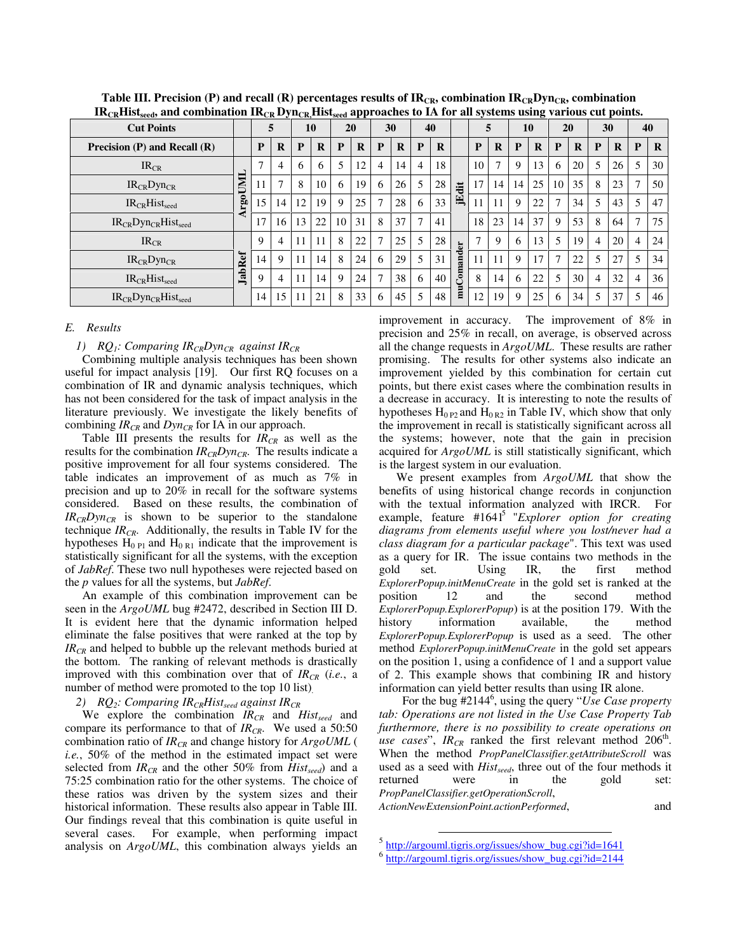| --- v.n<br>--- - secu -                          |                 |             |                |    |          | - CR = J - CR, - - - -<br>$-$ secu $-$ r r |          |              |          |   |          | –   |              |                |             |          |              |          |                |          |                |          |
|--------------------------------------------------|-----------------|-------------|----------------|----|----------|--------------------------------------------|----------|--------------|----------|---|----------|-----|--------------|----------------|-------------|----------|--------------|----------|----------------|----------|----------------|----------|
| <b>Cut Points</b>                                |                 |             | 5              |    | 10       |                                            | 20       |              | 30       |   | 40       |     |              | 5              |             | 10       |              | 20       |                | 30       |                | 40       |
| Precision $(P)$ and Recall $(R)$                 |                 | P           | $\bf{R}$       | P  | $\bf{R}$ | P                                          | $\bf{R}$ | $\mathbf{p}$ | $\bf{R}$ | P | $\bf{R}$ |     | P            | $\bf R$        | P           | $\bf{R}$ | P            | $\bf{R}$ | P              | $\bf{R}$ | P              | $\bf{R}$ |
| $IR_{CR}$                                        | E<br>∍<br>So    |             | 4              | 6  | 6        |                                            | 12       | 4            | 14       | 4 | 18       |     | 10           | $\overline{ }$ | 9           | 13       | 6            | 20       | 5              | 26       | 5              | 30       |
| $IR_{CR}$ Dyn <sub>CR</sub>                      |                 | 11          | $\mathbf{r}$   | 8  | 10       | 6                                          | 19       | 6            | 26       |   | 28       | ät  | 17           | 14             | 14          | 25       | 10           | 35       | 8              | 23       | $\mathbf{r}$   | 50       |
| $IR_{CR}$ Hist <sub>seed</sub>                   |                 | 15          | 14             | 12 | 19       | 9                                          | 25       |              | 28       | 6 | 33       | 嶌   |              |                | 9           | 22       | $\mathbf{7}$ | 34       | 5              | 43       | 5              | 47       |
| $IR_{CR}$ Dyn <sub>CR</sub> Hist <sub>seed</sub> |                 | 17          | 16             | 13 | 22       | 10                                         | 31       | 8            | 37       |   | 41       |     | 18           | 23             | 14          | 37       | 9            | 53       | 8              | 64       | $\mathcal{I}$  | 75       |
| $IR_{CR}$                                        |                 | $\mathbf Q$ | $\overline{4}$ | 11 | 11       | 8                                          | 22       |              | 25       |   | 28       | E   | $\mathbf{r}$ | 9              | 6           | 13       | 5            | 19       | 4              | 20       | 4              | 24       |
| $IR_{CR}$ Dyn <sub>CR</sub>                      | Ref             | 14          | $\mathbf Q$    | 11 | 14       | 8                                          | 24       | 6            | 29       |   | 31       | and |              | 11             | $\mathbf Q$ | 17       | $\mathbf{r}$ | 22       | 5              | 27       | 5              | 34       |
| $IR_{CR}$ Hist <sub>seed</sub>                   | $\ddot{a}$<br>➡ | 9           | $\overline{4}$ | 11 | 14       | 9                                          | 24       |              | 38       | 6 | 40       |     | 8            | 14             | 6           | 22       | 5            | 30       | $\overline{4}$ | 32       | $\overline{4}$ | 36       |
| $IR_{CR}$ Dyn <sub>CR</sub> Hist <sub>seed</sub> |                 | 14          | 15             | 11 | 21       | 8                                          | 33       | 6            | 45       |   | 48       | Ξ   | 12           | 19             | 9           | 25       | 6            | 34       | 5              | 37       |                | 46       |

**Table III. Precision (P) and recall (R) percentages results of**  $IR_{CR}$ **, combination**  $IR_{CR}Dyn_{CR}$ **, combination IRCRHistseed, and combination IRCR DynCR,Histseed approaches to IA for all systems using various cut points.** 

#### *E. Results*

*1) RQ1: Comparing IRCRDynCR against IRCR*

Combining multiple analysis techniques has been shown useful for impact analysis [19]. Our first RQ focuses on a combination of IR and dynamic analysis techniques, which has not been considered for the task of impact analysis in the literature previously. We investigate the likely benefits of combining *IRCR* and *DynCR* for IA in our approach.

Table III presents the results for  $IR<sub>CR</sub>$  as well as the results for the combination *IRCRDynCR*. The results indicate a positive improvement for all four systems considered. The table indicates an improvement of as much as 7% in precision and up to 20% in recall for the software systems considered. Based on these results, the combination of  $IR_{CR}Dyn_{CR}$  is shown to be superior to the standalone technique  $IR_{CR}$ . Additionally, the results in Table IV for the hypotheses  $H_{0\,P1}$  and  $H_{0\,R1}$  indicate that the improvement is statistically significant for all the systems, with the exception of *JabRef*. These two null hypotheses were rejected based on the *p* values for all the systems, but *JabRef*.

An example of this combination improvement can be seen in the *ArgoUML* bug #2472, described in Section III D. It is evident here that the dynamic information helped eliminate the false positives that were ranked at the top by *IRCR* and helped to bubble up the relevant methods buried at the bottom. The ranking of relevant methods is drastically improved with this combination over that of *IRCR* (*i.e.*, a number of method were promoted to the top 10 list).

### *2) RQ2: Comparing IRCRHistseed against IRCR*

We explore the combination *IRCR* and *Histseed* and compare its performance to that of *IRCR*. We used a 50:50 combination ratio of *IRCR* and change history for *ArgoUML* ( *i.e.*, 50% of the method in the estimated impact set were selected from *IRCR* and the other 50% from *Histseed*) and a 75:25 combination ratio for the other systems. The choice of these ratios was driven by the system sizes and their historical information. These results also appear in Table III. Our findings reveal that this combination is quite useful in several cases. For example, when performing impact analysis on *ArgoUML*, this combination always yields an improvement in accuracy. The improvement of 8% in precision and 25% in recall, on average, is observed across all the change requests in *ArgoUML*. These results are rather promising. The results for other systems also indicate an improvement yielded by this combination for certain cut points, but there exist cases where the combination results in a decrease in accuracy. It is interesting to note the results of hypotheses  $H_{0 P2}$  and  $H_{0 R2}$  in Table IV, which show that only the improvement in recall is statistically significant across all the systems; however, note that the gain in precision acquired for *ArgoUML* is still statistically significant, which is the largest system in our evaluation.

We present examples from *ArgoUML* that show the benefits of using historical change records in conjunction with the textual information analyzed with IRCR. For example, feature #1641<sup>5</sup> "*Explorer option for creating diagrams from elements useful where you lost/never had a class diagram for a particular package*". This text was used as a query for IR. The issue contains two methods in the gold set. Using IR, the first method *ExplorerPopup.initMenuCreate* in the gold set is ranked at the position 12 and the second method position 12 and the second method *ExplorerPopup.ExplorerPopup*) is at the position 179. With the history information available, the method information available, the *ExplorerPopup.ExplorerPopup* is used as a seed. The other method *ExplorerPopup.initMenuCreate* in the gold set appears on the position 1, using a confidence of 1 and a support value of 2. This example shows that combining IR and history information can yield better results than using IR alone.

For the bug #2144<sup>6</sup>, using the query "*Use Case property tab: Operations are not listed in the Use Case Property Tab furthermore, there is no possibility to create operations on use cases*",  $IR_{CR}$  ranked the first relevant method 206<sup>th</sup>. When the method *PropPanelClassifier.getAttributeScroll* was used as a seed with *Histseed*, three out of the four methods it returned were in the gold set: *PropPanelClassifier.getOperationScroll*, *ActionNewExtensionPoint.actionPerformed*, and

-

<sup>&</sup>lt;sup>5</sup> http://argouml.tigris.org/issues/show\_bug.cgi?id=1641

<sup>&</sup>lt;sup>6</sup> http://argouml.tigris.org/issues/show\_bug.cgi?id=2144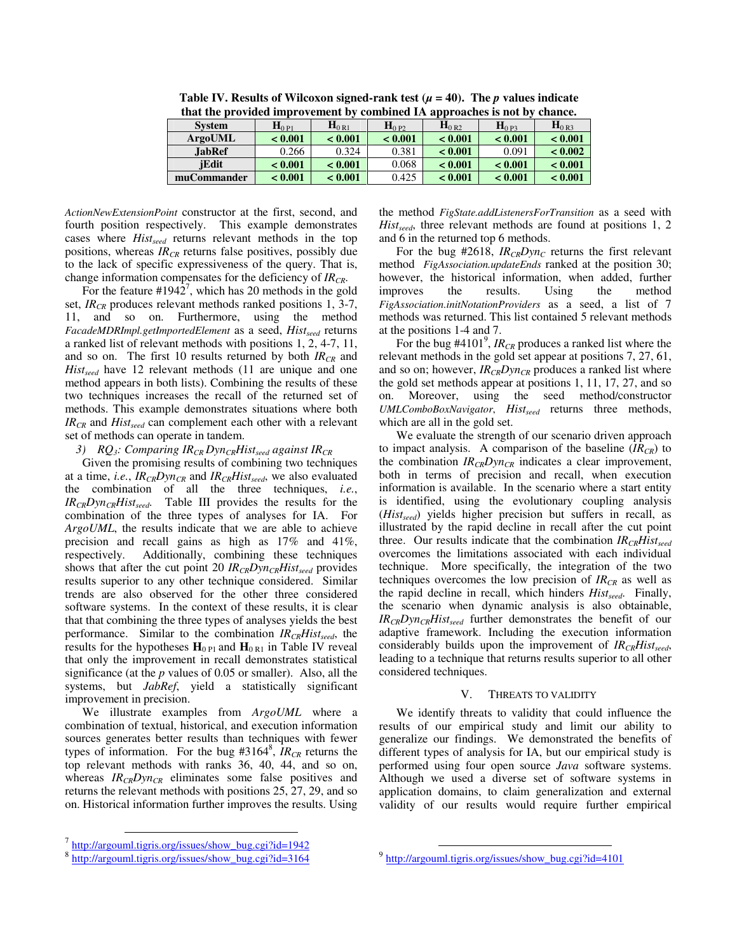| that the provided improvement by combined IA approaches is not by chance. |                           |           |           |           |           |           |  |  |  |  |  |
|---------------------------------------------------------------------------|---------------------------|-----------|-----------|-----------|-----------|-----------|--|--|--|--|--|
| <b>System</b>                                                             | $\mathbf{H}_{0\text{P1}}$ | $H_{0R1}$ | $H_{0P2}$ | $H_{0R2}$ | $H_{0P3}$ | $H_{0R3}$ |  |  |  |  |  |
| ArgoUML                                                                   | < 0.001                   | < 0.001   | < 0.001   | < 0.001   | < 0.001   | < 0.001   |  |  |  |  |  |
| <b>JabRef</b>                                                             | 0.266                     | 0.324     | 0.381     | < 0.001   | 0.091     | < 0.002   |  |  |  |  |  |
| iEdit                                                                     | < 0.001                   | < 0.001   | 0.068     | < 0.001   | < 0.001   | < 0.001   |  |  |  |  |  |
| muCommander                                                               | < 0.001                   | < 0.001   | 0.425     | < 0.001   | < 0.001   | < 0.001   |  |  |  |  |  |

Table IV. Results of Wilcoxon signed-rank test  $(\mu = 40)$ . The *p* values indicate

*ActionNewExtensionPoint* constructor at the first, second, and fourth position respectively. This example demonstrates cases where *Histseed* returns relevant methods in the top positions, whereas *IRCR* returns false positives, possibly due to the lack of specific expressiveness of the query. That is, change information compensates for the deficiency of *IRCR*.

For the feature  $\#1942^7$ , which has 20 methods in the gold set, *IRCR* produces relevant methods ranked positions 1, 3-7, 11, and so on. Furthermore, using the method *FacadeMDRImpl.getImportedElement* as a seed, *Histseed* returns a ranked list of relevant methods with positions 1, 2, 4-7, 11, and so on. The first 10 results returned by both  $IR_{CR}$  and *Histseed* have 12 relevant methods (11 are unique and one method appears in both lists). Combining the results of these two techniques increases the recall of the returned set of methods. This example demonstrates situations where both *IRCR* and *Histseed* can complement each other with a relevant set of methods can operate in tandem.

### *3) RQ3: Comparing IRCR DynCRHistseed against IRCR*

Given the promising results of combining two techniques at a time, *i.e.*, *IRCRDynCR* and *IRCRHistseed*, we also evaluated the combination of all the three techniques, *i.e.*, *IRCRDynCRHistseed*. Table III provides the results for the combination of the three types of analyses for IA. For *ArgoUML*, the results indicate that we are able to achieve precision and recall gains as high as 17% and 41%, respectively. Additionally, combining these techniques shows that after the cut point 20  $IR_{CR}Dyn_{CR}Hist_{seed}$  provides results superior to any other technique considered. Similar trends are also observed for the other three considered software systems. In the context of these results, it is clear that that combining the three types of analyses yields the best performance. Similar to the combination *IRCRHistseed*, the results for the hypotheses  $H_{0}$   $_{P1}$  and  $H_{0}$   $_{R1}$  in Table IV reveal that only the improvement in recall demonstrates statistical significance (at the *p* values of 0.05 or smaller). Also, all the systems, but *JabRef*, yield a statistically significant improvement in precision.

We illustrate examples from *ArgoUML* where a combination of textual, historical, and execution information sources generates better results than techniques with fewer types of information. For the bug  $#3164^8$ ,  $IR_{CR}$  returns the top relevant methods with ranks 36, 40, 44, and so on, whereas *IRCRDynCR* eliminates some false positives and returns the relevant methods with positions 25, 27, 29, and so on. Historical information further improves the results. Using

For the bug #2618,  $IR_{CR}Dyn_c$  returns the first relevant method *FigAssociation.updateEnds* ranked at the position 30; however, the historical information, when added, further improves the results. Using the method *FigAssociation.initNotationProviders* as a seed, a list of 7 methods was returned. This list contained 5 relevant methods at the positions 1-4 and 7.

For the bug  $\#4101^\circ$ , *IR<sub>CR</sub>* produces a ranked list where the relevant methods in the gold set appear at positions 7, 27, 61, and so on; however, *IRCRDynCR* produces a ranked list where the gold set methods appear at positions 1, 11, 17, 27, and so on. Moreover, using the seed method/constructor *UMLComboBoxNavigator*, *Histseed* returns three methods, which are all in the gold set.

We evaluate the strength of our scenario driven approach to impact analysis. A comparison of the baseline  $(IR_{CR})$  to the combination *IRCRDynCR* indicates a clear improvement, both in terms of precision and recall, when execution information is available. In the scenario where a start entity is identified, using the evolutionary coupling analysis (*Histseed*) yields higher precision but suffers in recall, as illustrated by the rapid decline in recall after the cut point three. Our results indicate that the combination *IRCRHistseed* overcomes the limitations associated with each individual technique. More specifically, the integration of the two techniques overcomes the low precision of  $IR<sub>CR</sub>$  as well as the rapid decline in recall, which hinders *Histseed*. Finally, the scenario when dynamic analysis is also obtainable, *IRCRDynCRHistseed* further demonstrates the benefit of our adaptive framework. Including the execution information considerably builds upon the improvement of *IRCRHistseed*, leading to a technique that returns results superior to all other considered techniques.

#### V. THREATS TO VALIDITY

We identify threats to validity that could influence the results of our empirical study and limit our ability to generalize our findings. We demonstrated the benefits of different types of analysis for IA, but our empirical study is performed using four open source *Java* software systems. Although we used a diverse set of software systems in application domains, to claim generalization and external validity of our results would require further empirical

j

-

the method *FigState.addListenersForTransition* as a seed with *Histseed*, three relevant methods are found at positions 1, 2 and 6 in the returned top 6 methods.

<sup>7</sup> http://argouml.tigris.org/issues/show\_bug.cgi?id=1942

<sup>8</sup> http://argouml.tigris.org/issues/show\_bug.cgi?id=3164

<sup>&</sup>lt;sup>9</sup> http://argouml.tigris.org/issues/show\_bug.cgi?id=4101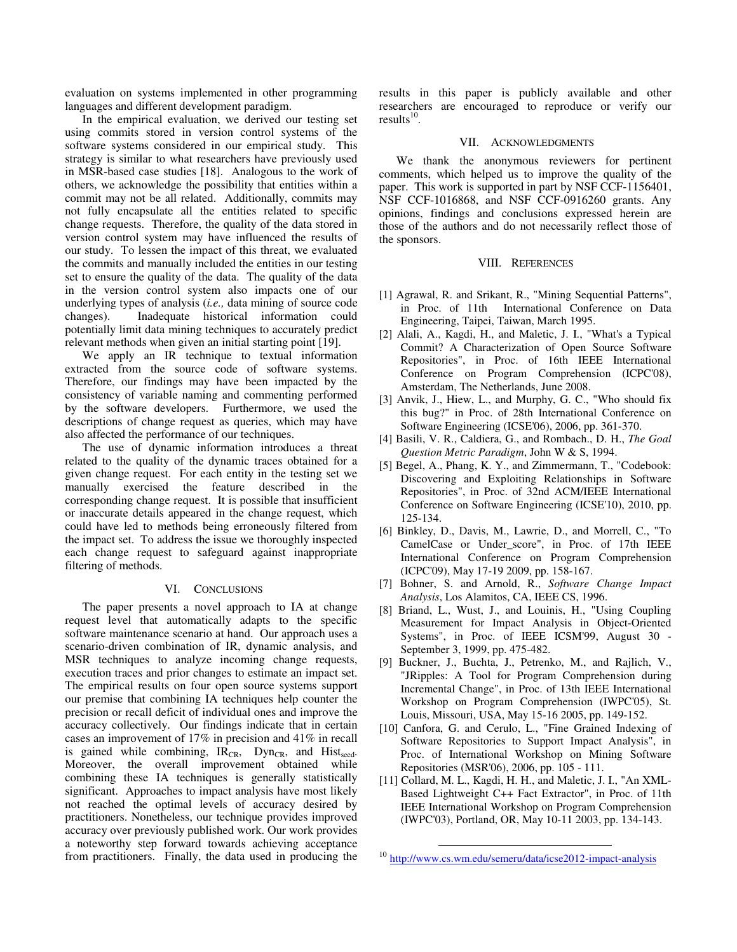evaluation on systems implemented in other programming languages and different development paradigm.

In the empirical evaluation, we derived our testing set using commits stored in version control systems of the software systems considered in our empirical study. This strategy is similar to what researchers have previously used in MSR-based case studies [18]. Analogous to the work of others, we acknowledge the possibility that entities within a commit may not be all related. Additionally, commits may not fully encapsulate all the entities related to specific change requests. Therefore, the quality of the data stored in version control system may have influenced the results of our study. To lessen the impact of this threat, we evaluated the commits and manually included the entities in our testing set to ensure the quality of the data. The quality of the data in the version control system also impacts one of our underlying types of analysis (*i.e.,* data mining of source code changes). Inadequate historical information could potentially limit data mining techniques to accurately predict relevant methods when given an initial starting point [19].

We apply an IR technique to textual information extracted from the source code of software systems. Therefore, our findings may have been impacted by the consistency of variable naming and commenting performed by the software developers. Furthermore, we used the descriptions of change request as queries, which may have also affected the performance of our techniques.

The use of dynamic information introduces a threat related to the quality of the dynamic traces obtained for a given change request. For each entity in the testing set we manually exercised the feature described in the corresponding change request. It is possible that insufficient or inaccurate details appeared in the change request, which could have led to methods being erroneously filtered from the impact set. To address the issue we thoroughly inspected each change request to safeguard against inappropriate filtering of methods.

### VI. CONCLUSIONS

The paper presents a novel approach to IA at change request level that automatically adapts to the specific software maintenance scenario at hand. Our approach uses a scenario-driven combination of IR, dynamic analysis, and MSR techniques to analyze incoming change requests, execution traces and prior changes to estimate an impact set. The empirical results on four open source systems support our premise that combining IA techniques help counter the precision or recall deficit of individual ones and improve the accuracy collectively. Our findings indicate that in certain cases an improvement of 17% in precision and 41% in recall is gained while combining,  $IR_{CR}$ ,  $Dyn_{CR}$ , and Hist<sub>seed</sub>. Moreover, the overall improvement obtained while combining these IA techniques is generally statistically significant. Approaches to impact analysis have most likely not reached the optimal levels of accuracy desired by practitioners. Nonetheless, our technique provides improved accuracy over previously published work. Our work provides a noteworthy step forward towards achieving acceptance from practitioners. Finally, the data used in producing the

results in this paper is publicly available and other researchers are encouraged to reproduce or verify our  $results^{10}$ .

#### VII. ACKNOWLEDGMENTS

We thank the anonymous reviewers for pertinent comments, which helped us to improve the quality of the paper. This work is supported in part by NSF CCF-1156401, NSF CCF-1016868, and NSF CCF-0916260 grants. Any opinions, findings and conclusions expressed herein are those of the authors and do not necessarily reflect those of the sponsors.

## VIII. REFERENCES

- [1] Agrawal, R. and Srikant, R., "Mining Sequential Patterns", in Proc. of 11th International Conference on Data Engineering, Taipei, Taiwan, March 1995.
- [2] Alali, A., Kagdi, H., and Maletic, J. I., "What's a Typical Commit? A Characterization of Open Source Software Repositories", in Proc. of 16th IEEE International Conference on Program Comprehension (ICPC'08), Amsterdam, The Netherlands, June 2008.
- [3] Anvik, J., Hiew, L., and Murphy, G. C., "Who should fix this bug?" in Proc. of 28th International Conference on Software Engineering (ICSE'06), 2006, pp. 361-370.
- [4] Basili, V. R., Caldiera, G., and Rombach., D. H., *The Goal Question Metric Paradigm*, John W & S, 1994.
- [5] Begel, A., Phang, K. Y., and Zimmermann, T., "Codebook: Discovering and Exploiting Relationships in Software Repositories", in Proc. of 32nd ACM/IEEE International Conference on Software Engineering (ICSE'10), 2010, pp. 125-134.
- [6] Binkley, D., Davis, M., Lawrie, D., and Morrell, C., "To CamelCase or Under score", in Proc. of 17th IEEE International Conference on Program Comprehension (ICPC'09), May 17-19 2009, pp. 158-167.
- [7] Bohner, S. and Arnold, R., *Software Change Impact Analysis*, Los Alamitos, CA, IEEE CS, 1996.
- [8] Briand, L., Wust, J., and Louinis, H., "Using Coupling Measurement for Impact Analysis in Object-Oriented Systems", in Proc. of IEEE ICSM'99, August 30 - September 3, 1999, pp. 475-482.
- [9] Buckner, J., Buchta, J., Petrenko, M., and Rajlich, V., "JRipples: A Tool for Program Comprehension during Incremental Change", in Proc. of 13th IEEE International Workshop on Program Comprehension (IWPC'05), St. Louis, Missouri, USA, May 15-16 2005, pp. 149-152.
- [10] Canfora, G. and Cerulo, L., "Fine Grained Indexing of Software Repositories to Support Impact Analysis", in Proc. of International Workshop on Mining Software Repositories (MSR'06), 2006, pp. 105 - 111.
- [11] Collard, M. L., Kagdi, H. H., and Maletic, J. I., "An XML-Based Lightweight C++ Fact Extractor", in Proc. of 11th IEEE International Workshop on Program Comprehension (IWPC'03), Portland, OR, May 10-11 2003, pp. 134-143.

-

<sup>&</sup>lt;sup>10</sup> http://www.cs.wm.edu/semeru/data/icse2012-impact-analysis